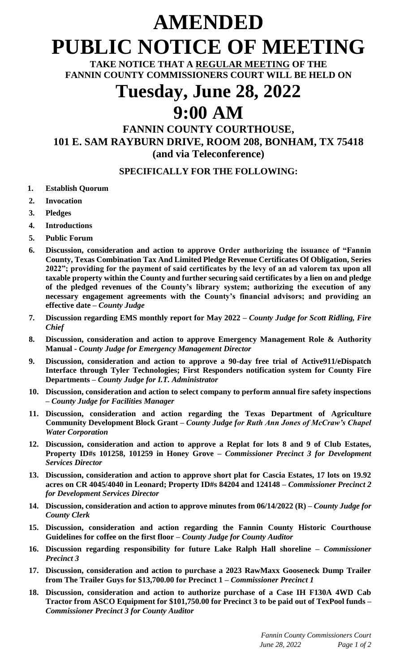# **AMENDED PUBLIC NOTICE OF MEETING**

**TAKE NOTICE THAT A REGULAR MEETING OF THE FANNIN COUNTY COMMISSIONERS COURT WILL BE HELD ON**

## **Tuesday, June 28, 2022 9:00 AM**

### **FANNIN COUNTY COURTHOUSE, 101 E. SAM RAYBURN DRIVE, ROOM 208, BONHAM, TX 75418 (and via Teleconference)**

#### **SPECIFICALLY FOR THE FOLLOWING:**

- **1. Establish Quorum**
- **2. Invocation**
- **3. Pledges**
- **4. Introductions**
- **5. Public Forum**
- **6. Discussion, consideration and action to approve Order authorizing the issuance of "Fannin County, Texas Combination Tax And Limited Pledge Revenue Certificates Of Obligation, Series 2022"; providing for the payment of said certificates by the levy of an ad valorem tax upon all taxable property within the County and further securing said certificates by a lien on and pledge of the pledged revenues of the County's library system; authorizing the execution of any necessary engagement agreements with the County's financial advisors; and providing an effective date –** *County Judge*
- **7. Discussion regarding EMS monthly report for May 2022 –** *County Judge for Scott Ridling, Fire Chief*
- **8. Discussion, consideration and action to approve Emergency Management Role & Authority Manual -** *County Judge for Emergency Management Director*
- **9. Discussion, consideration and action to approve a 90-day free trial of Active911/eDispatch Interface through Tyler Technologies; First Responders notification system for County Fire Departments –** *County Judge for I.T. Administrator*
- **10. Discussion, consideration and action to select company to perform annual fire safety inspections –** *County Judge for Facilities Manager*
- **11. Discussion, consideration and action regarding the Texas Department of Agriculture Community Development Block Grant –** *County Judge for Ruth Ann Jones of McCraw's Chapel Water Corporation*
- **12. Discussion, consideration and action to approve a Replat for lots 8 and 9 of Club Estates, Property ID#s 101258, 101259 in Honey Grove –** *Commissioner Precinct 3 for Development Services Director*
- **13. Discussion, consideration and action to approve short plat for Cascia Estates, 17 lots on 19.92 acres on CR 4045/4040 in Leonard; Property ID#s 84204 and 124148 –** *Commissioner Precinct 2 for Development Services Director*
- **14. Discussion, consideration and action to approve minutes from 06/14/2022 (R) –** *County Judge for County Clerk*
- **15. Discussion, consideration and action regarding the Fannin County Historic Courthouse Guidelines for coffee on the first floor –** *County Judge for County Auditor*
- **16. Discussion regarding responsibility for future Lake Ralph Hall shoreline –** *Commissioner Precinct 3*
- **17. Discussion, consideration and action to purchase a 2023 RawMaxx Gooseneck Dump Trailer from The Trailer Guys for \$13,700.00 for Precinct 1 –** *Commissioner Precinct 1*
- **18. Discussion, consideration and action to authorize purchase of a Case IH F130A 4WD Cab Tractor from ASCO Equipment for \$101,750.00 for Precinct 3 to be paid out of TexPool funds –** *Commissioner Precinct 3 for County Auditor*